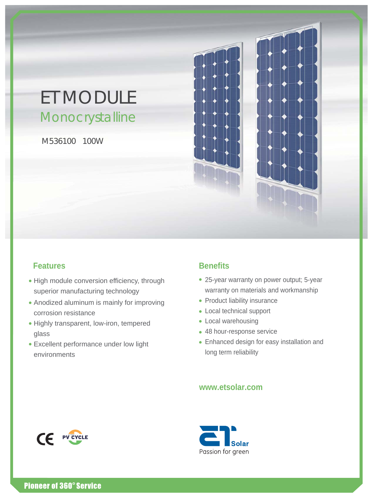# ET MODULE Monocrystalline

M536100 100W



## **Features Benefits**

- High module conversion efficiency, through superior manufacturing technology
- Anodized aluminum is mainly for improving corrosion resistance
- Highly transparent, low-iron, tempered glass
- Excellent performance under low light environments

- 25-year warranty on power output; 5-year warranty on materials and workmanship
- Product liability insurance
- Local technical support
- Local warehousing
- 48 hour-response service
- Enhanced design for easy installation and long term reliability

### **www.etsolar.com**